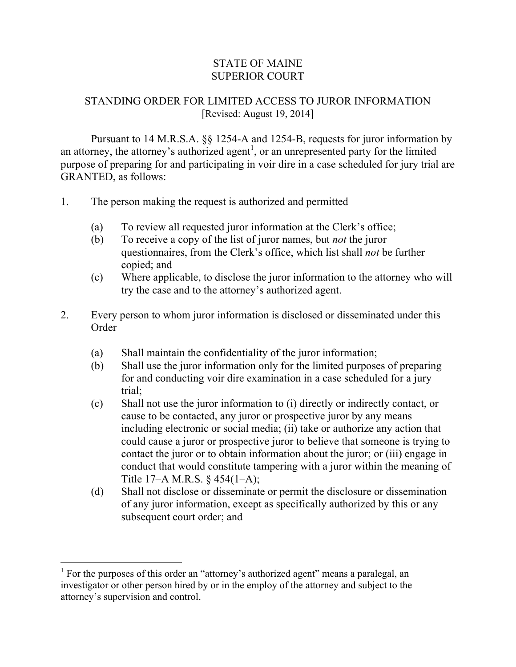## STATE OF MAINE SUPERIOR COURT

## STANDING ORDER FOR LIMITED ACCESS TO JUROR INFORMATION [Revised: August 19, 2014]

Pursuant to 14 M.R.S.A. §§ 1254-A and 1254-B, requests for juror information by an attorney, the attorney's authorized agent<sup>1</sup>, or an unrepresented party for the limited purpose of preparing for and participating in voir dire in a case scheduled for jury trial are GRANTED, as follows:

- 1. The person making the request is authorized and permitted
	- (a) To review all requested juror information at the Clerk's office;
	- (b) To receive a copy of the list of juror names, but *not* the juror questionnaires, from the Clerk's office, which list shall *not* be further copied; and
	- (c) Where applicable, to disclose the juror information to the attorney who will try the case and to the attorney's authorized agent.
- 2. Every person to whom juror information is disclosed or disseminated under this Order
	- (a) Shall maintain the confidentiality of the juror information;
	- (b) Shall use the juror information only for the limited purposes of preparing for and conducting voir dire examination in a case scheduled for a jury trial;
	- (c) Shall not use the juror information to (i) directly or indirectly contact, or cause to be contacted, any juror or prospective juror by any means including electronic or social media; (ii) take or authorize any action that could cause a juror or prospective juror to believe that someone is trying to contact the juror or to obtain information about the juror; or (iii) engage in conduct that would constitute tampering with a juror within the meaning of Title 17–A M.R.S. § 454(1–A);
	- (d) Shall not disclose or disseminate or permit the disclosure or dissemination of any juror information, except as specifically authorized by this or any subsequent court order; and

 $\overline{a}$ 

 $<sup>1</sup>$  For the purposes of this order an "attorney's authorized agent" means a paralegal, an</sup> investigator or other person hired by or in the employ of the attorney and subject to the attorney's supervision and control.